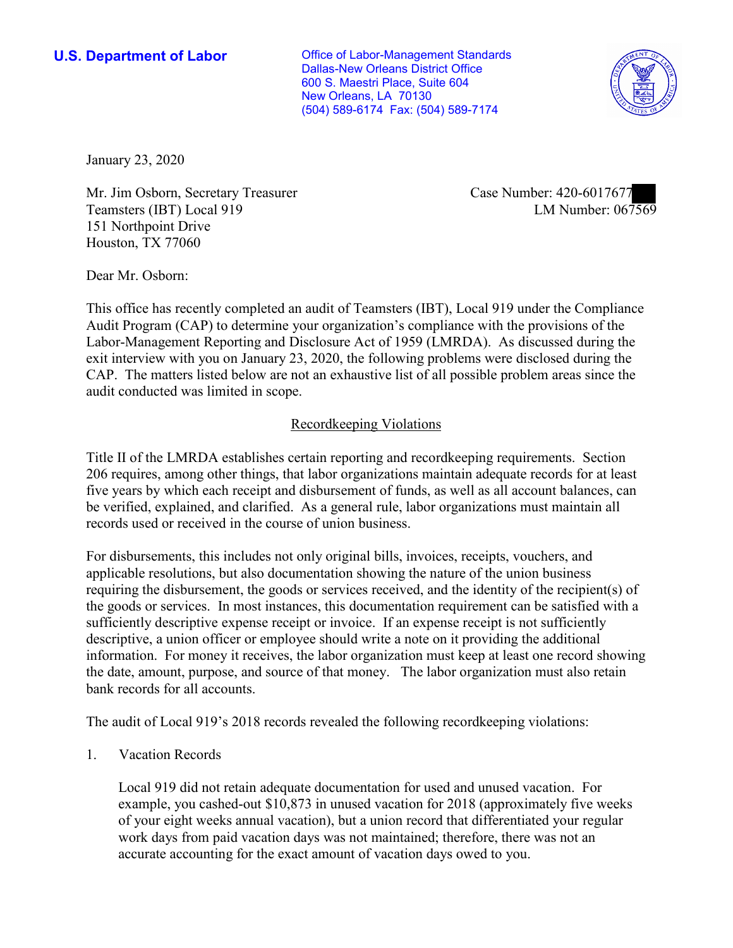New Orleans, LA 70130 **U.S. Department of Labor Conservative Conservative Conservative Conservative Conservative Conservative Conservative Conservative Conservative Conservative Conservative Conservative Conservative Conservative Conservative** Dallas-New Orleans District Office 600 S. Maestri Place, Suite 604 (504) 589-6174 Fax: (504) 589-7174



January 23, 2020

Mr. Jim Osborn, Secretary Treasurer Teamsters (IBT) Local 919 151 Northpoint Drive Houston, TX 77060

Case Number: 420-6017677<br>LM Number: 067569

Dear Mr. Osborn:

 This office has recently completed an audit of Teamsters (IBT), Local 919 under the Compliance Audit Program (CAP) to determine your organization's compliance with the provisions of the Labor-Management Reporting and Disclosure Act of 1959 (LMRDA). As discussed during the exit interview with you on January 23, 2020, the following problems were disclosed during the CAP. The matters listed below are not an exhaustive list of all possible problem areas since the audit conducted was limited in scope.

## Recordkeeping Violations

 Title II of the LMRDA establishes certain reporting and recordkeeping requirements. Section 206 requires, among other things, that labor organizations maintain adequate records for at least five years by which each receipt and disbursement of funds, as well as all account balances, can be verified, explained, and clarified. As a general rule, labor organizations must maintain all records used or received in the course of union business.

For disbursements, this includes not only original bills, invoices, receipts, vouchers, and applicable resolutions, but also documentation showing the nature of the union business requiring the disbursement, the goods or services received, and the identity of the recipient(s) of the goods or services. In most instances, this documentation requirement can be satisfied with a sufficiently descriptive expense receipt or invoice. If an expense receipt is not sufficiently descriptive, a union officer or employee should write a note on it providing the additional information. For money it receives, the labor organization must keep at least one record showing the date, amount, purpose, and source of that money. The labor organization must also retain bank records for all accounts.

The audit of Local 919's 2018 records revealed the following recordkeeping violations:

1. Vacation Records

Local 919 did not retain adequate documentation for used and unused vacation. For example, you cashed-out \$10,873 in unused vacation for 2018 (approximately five weeks of your eight weeks annual vacation), but a union record that differentiated your regular work days from paid vacation days was not maintained; therefore, there was not an accurate accounting for the exact amount of vacation days owed to you.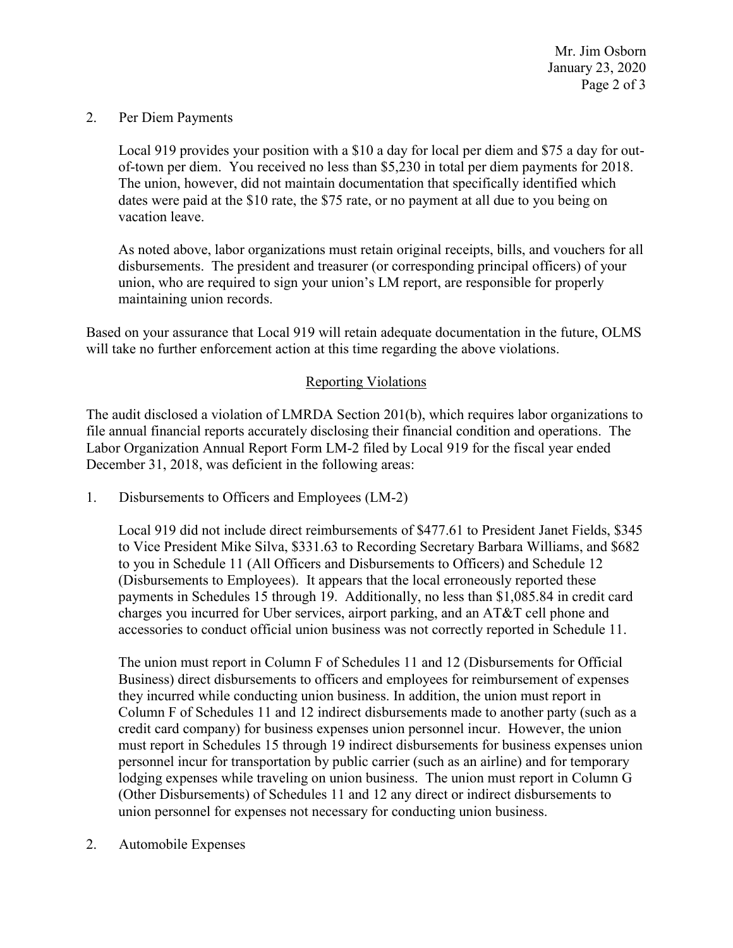Page 2 of 3 Mr. Jim Osborn January 23, 2020

## 2. Per Diem Payments

 Local 919 provides your position with a \$10 a day for local per diem and \$75 a day for outvacation leave. of-town per diem. You received no less than \$5,230 in total per diem payments for 2018. The union, however, did not maintain documentation that specifically identified which dates were paid at the \$10 rate, the \$75 rate, or no payment at all due to you being on

 disbursements. The president and treasurer (or corresponding principal officers) of your As noted above, labor organizations must retain original receipts, bills, and vouchers for all union, who are required to sign your union's LM report, are responsible for properly maintaining union records.

 Based on your assurance that Local 919 will retain adequate documentation in the future, OLMS will take no further enforcement action at this time regarding the above violations.

## Reporting Violations

 Labor Organization Annual Report Form LM-2 filed by Local 919 for the fiscal year ended The audit disclosed a violation of LMRDA Section 201(b), which requires labor organizations to file annual financial reports accurately disclosing their financial condition and operations. The December 31, 2018, was deficient in the following areas:

1. Disbursements to Officers and Employees (LM-2)

 payments in Schedules 15 through 19. Additionally, no less than \$[1,085.84](https://1,085.84) in credit card Local 919 did not include direct reimbursements of \$477.61 to President Janet Fields, \$345 to Vice President Mike Silva, \$331.63 to Recording Secretary Barbara Williams, and \$682 to you in Schedule 11 (All Officers and Disbursements to Officers) and Schedule 12 (Disbursements to Employees). It appears that the local erroneously reported these charges you incurred for Uber services, airport parking, and an AT&T cell phone and accessories to conduct official union business was not correctly reported in Schedule 11.

 The union must report in Column F of Schedules 11 and 12 (Disbursements for Official Column F of Schedules 11 and 12 indirect disbursements made to another party (such as a personnel incur for transportation by public carrier (such as an airline) and for temporary Business) direct disbursements to officers and employees for reimbursement of expenses they incurred while conducting union business. In addition, the union must report in credit card company) for business expenses union personnel incur. However, the union must report in Schedules 15 through 19 indirect disbursements for business expenses union lodging expenses while traveling on union business. The union must report in Column G (Other Disbursements) of Schedules 11 and 12 any direct or indirect disbursements to union personnel for expenses not necessary for conducting union business.

2. Automobile Expenses